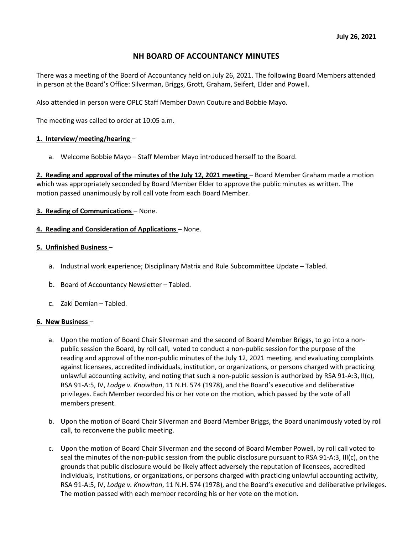# NH BOARD OF ACCOUNTANCY MINUTES

There was a meeting of the Board of Accountancy held on July 26, 2021. The following Board Members attended in person at the Board's Office: Silverman, Briggs, Grott, Graham, Seifert, Elder and Powell.

Also attended in person were OPLC Staff Member Dawn Couture and Bobbie Mayo.

The meeting was called to order at 10:05 a.m.

## 1. Interview/meeting/hearing –

a. Welcome Bobbie Mayo – Staff Member Mayo introduced herself to the Board.

2. Reading and approval of the minutes of the July 12, 2021 meeting - Board Member Graham made a motion which was appropriately seconded by Board Member Elder to approve the public minutes as written. The motion passed unanimously by roll call vote from each Board Member.

## 3. Reading of Communications – None.

## 4. Reading and Consideration of Applications – None.

## 5. Unfinished Business –

- a. Industrial work experience; Disciplinary Matrix and Rule Subcommittee Update Tabled.
- b. Board of Accountancy Newsletter Tabled.
- c. Zaki Demian Tabled.

#### 6. New Business –

- a. Upon the motion of Board Chair Silverman and the second of Board Member Briggs, to go into a nonpublic session the Board, by roll call, voted to conduct a non-public session for the purpose of the reading and approval of the non-public minutes of the July 12, 2021 meeting, and evaluating complaints against licensees, accredited individuals, institution, or organizations, or persons charged with practicing unlawful accounting activity, and noting that such a non-public session is authorized by RSA 91-A:3, II(c), RSA 91-A:5, IV, Lodge v. Knowlton, 11 N.H. 574 (1978), and the Board's executive and deliberative privileges. Each Member recorded his or her vote on the motion, which passed by the vote of all members present.
- b. Upon the motion of Board Chair Silverman and Board Member Briggs, the Board unanimously voted by roll call, to reconvene the public meeting.
- c. Upon the motion of Board Chair Silverman and the second of Board Member Powell, by roll call voted to seal the minutes of the non-public session from the public disclosure pursuant to RSA 91-A:3, III(c), on the grounds that public disclosure would be likely affect adversely the reputation of licensees, accredited individuals, institutions, or organizations, or persons charged with practicing unlawful accounting activity, RSA 91-A:5, IV, Lodge v. Knowlton, 11 N.H. 574 (1978), and the Board's executive and deliberative privileges. The motion passed with each member recording his or her vote on the motion.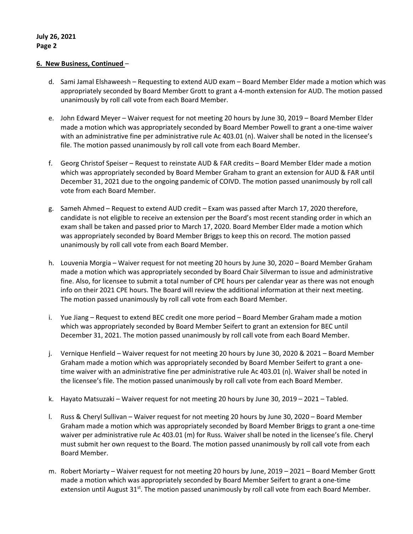#### 6. New Business, Continued –

- d. Sami Jamal Elshaweesh Requesting to extend AUD exam Board Member Elder made a motion which was appropriately seconded by Board Member Grott to grant a 4-month extension for AUD. The motion passed unanimously by roll call vote from each Board Member.
- e. John Edward Meyer Waiver request for not meeting 20 hours by June 30, 2019 Board Member Elder made a motion which was appropriately seconded by Board Member Powell to grant a one-time waiver with an administrative fine per administrative rule Ac 403.01 (n). Waiver shall be noted in the licensee's file. The motion passed unanimously by roll call vote from each Board Member.
- f. Georg Christof Speiser Request to reinstate AUD & FAR credits Board Member Elder made a motion which was appropriately seconded by Board Member Graham to grant an extension for AUD & FAR until December 31, 2021 due to the ongoing pandemic of COIVD. The motion passed unanimously by roll call vote from each Board Member.
- g. Sameh Ahmed Request to extend AUD credit Exam was passed after March 17, 2020 therefore, candidate is not eligible to receive an extension per the Board's most recent standing order in which an exam shall be taken and passed prior to March 17, 2020. Board Member Elder made a motion which was appropriately seconded by Board Member Briggs to keep this on record. The motion passed unanimously by roll call vote from each Board Member.
- h. Louvenia Morgia Waiver request for not meeting 20 hours by June 30, 2020 Board Member Graham made a motion which was appropriately seconded by Board Chair Silverman to issue and administrative fine. Also, for licensee to submit a total number of CPE hours per calendar year as there was not enough info on their 2021 CPE hours. The Board will review the additional information at their next meeting. The motion passed unanimously by roll call vote from each Board Member.
- i. Yue Jiang Request to extend BEC credit one more period Board Member Graham made a motion which was appropriately seconded by Board Member Seifert to grant an extension for BEC until December 31, 2021. The motion passed unanimously by roll call vote from each Board Member.
- j. Vernique Henfield Waiver request for not meeting 20 hours by June 30, 2020 & 2021 Board Member Graham made a motion which was appropriately seconded by Board Member Seifert to grant a onetime waiver with an administrative fine per administrative rule Ac 403.01 (n). Waiver shall be noted in the licensee's file. The motion passed unanimously by roll call vote from each Board Member.
- k. Hayato Matsuzaki Waiver request for not meeting 20 hours by June 30, 2019 2021 Tabled.
- l. Russ & Cheryl Sullivan Waiver request for not meeting 20 hours by June 30, 2020 Board Member Graham made a motion which was appropriately seconded by Board Member Briggs to grant a one-time waiver per administrative rule Ac 403.01 (m) for Russ. Waiver shall be noted in the licensee's file. Cheryl must submit her own request to the Board. The motion passed unanimously by roll call vote from each Board Member.
- m. Robert Moriarty Waiver request for not meeting 20 hours by June, 2019 2021 Board Member Grott made a motion which was appropriately seconded by Board Member Seifert to grant a one-time extension until August 31<sup>st</sup>. The motion passed unanimously by roll call vote from each Board Member.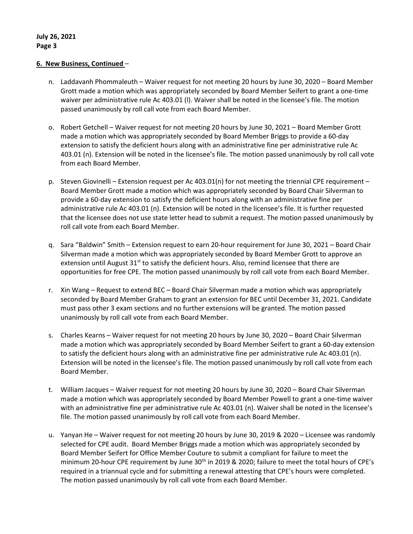#### 6. New Business, Continued –

- n. Laddavanh Phommaleuth Waiver request for not meeting 20 hours by June 30, 2020 Board Member Grott made a motion which was appropriately seconded by Board Member Seifert to grant a one-time waiver per administrative rule Ac 403.01 (l). Waiver shall be noted in the licensee's file. The motion passed unanimously by roll call vote from each Board Member.
- o. Robert Getchell Waiver request for not meeting 20 hours by June 30, 2021 Board Member Grott made a motion which was appropriately seconded by Board Member Briggs to provide a 60-day extension to satisfy the deficient hours along with an administrative fine per administrative rule Ac 403.01 (n). Extension will be noted in the licensee's file. The motion passed unanimously by roll call vote from each Board Member.
- p. Steven Giovinelli Extension request per Ac 403.01(n) for not meeting the triennial CPE requirement Board Member Grott made a motion which was appropriately seconded by Board Chair Silverman to provide a 60-day extension to satisfy the deficient hours along with an administrative fine per administrative rule Ac 403.01 (n). Extension will be noted in the licensee's file. It is further requested that the licensee does not use state letter head to submit a request. The motion passed unanimously by roll call vote from each Board Member.
- q. Sara "Baldwin" Smith Extension request to earn 20-hour requirement for June 30, 2021 Board Chair Silverman made a motion which was appropriately seconded by Board Member Grott to approve an extension until August  $31<sup>st</sup>$  to satisfy the deficient hours. Also, remind licensee that there are opportunities for free CPE. The motion passed unanimously by roll call vote from each Board Member.
- r. Xin Wang Request to extend BEC Board Chair Silverman made a motion which was appropriately seconded by Board Member Graham to grant an extension for BEC until December 31, 2021. Candidate must pass other 3 exam sections and no further extensions will be granted. The motion passed unanimously by roll call vote from each Board Member.
- s. Charles Kearns Waiver request for not meeting 20 hours by June 30, 2020 Board Chair Silverman made a motion which was appropriately seconded by Board Member Seifert to grant a 60-day extension to satisfy the deficient hours along with an administrative fine per administrative rule Ac 403.01 (n). Extension will be noted in the licensee's file. The motion passed unanimously by roll call vote from each Board Member.
- t. William Jacques Waiver request for not meeting 20 hours by June 30, 2020 Board Chair Silverman made a motion which was appropriately seconded by Board Member Powell to grant a one-time waiver with an administrative fine per administrative rule Ac 403.01 (n). Waiver shall be noted in the licensee's file. The motion passed unanimously by roll call vote from each Board Member.
- u. Yanyan He Waiver request for not meeting 20 hours by June 30, 2019 & 2020 Licensee was randomly selected for CPE audit. Board Member Briggs made a motion which was appropriately seconded by Board Member Seifert for Office Member Couture to submit a compliant for failure to meet the minimum 20-hour CPE requirement by June 30<sup>th</sup> in 2019 & 2020; failure to meet the total hours of CPE's required in a triannual cycle and for submitting a renewal attesting that CPE's hours were completed. The motion passed unanimously by roll call vote from each Board Member.